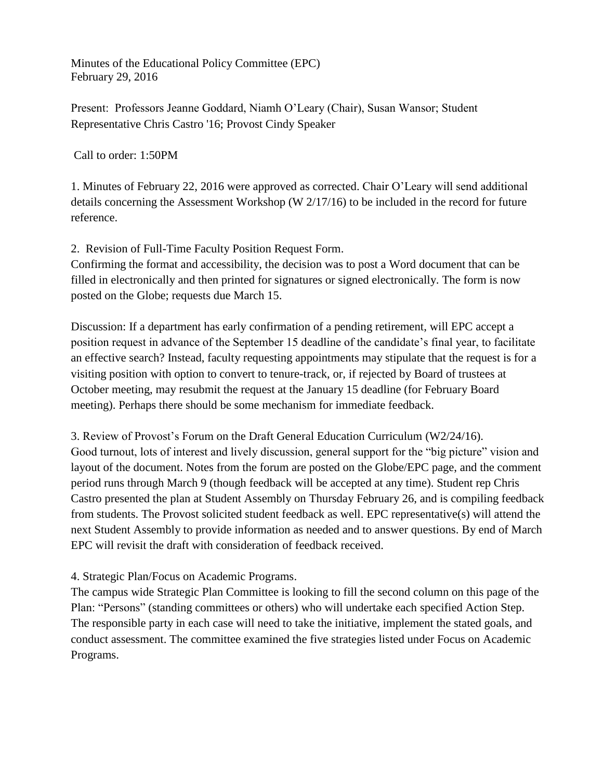Minutes of the Educational Policy Committee (EPC) February 29, 2016

Present: Professors Jeanne Goddard, Niamh O'Leary (Chair), Susan Wansor; Student Representative Chris Castro '16; Provost Cindy Speaker

Call to order: 1:50PM

1. Minutes of February 22, 2016 were approved as corrected. Chair O'Leary will send additional details concerning the Assessment Workshop (W 2/17/16) to be included in the record for future reference.

2. Revision of Full-Time Faculty Position Request Form.

Confirming the format and accessibility, the decision was to post a Word document that can be filled in electronically and then printed for signatures or signed electronically. The form is now posted on the Globe; requests due March 15.

Discussion: If a department has early confirmation of a pending retirement, will EPC accept a position request in advance of the September 15 deadline of the candidate's final year, to facilitate an effective search? Instead, faculty requesting appointments may stipulate that the request is for a visiting position with option to convert to tenure-track, or, if rejected by Board of trustees at October meeting, may resubmit the request at the January 15 deadline (for February Board meeting). Perhaps there should be some mechanism for immediate feedback.

3. Review of Provost's Forum on the Draft General Education Curriculum (W2/24/16). Good turnout, lots of interest and lively discussion, general support for the "big picture" vision and layout of the document. Notes from the forum are posted on the Globe/EPC page, and the comment period runs through March 9 (though feedback will be accepted at any time). Student rep Chris Castro presented the plan at Student Assembly on Thursday February 26, and is compiling feedback from students. The Provost solicited student feedback as well. EPC representative(s) will attend the next Student Assembly to provide information as needed and to answer questions. By end of March EPC will revisit the draft with consideration of feedback received.

4. Strategic Plan/Focus on Academic Programs.

The campus wide Strategic Plan Committee is looking to fill the second column on this page of the Plan: "Persons" (standing committees or others) who will undertake each specified Action Step. The responsible party in each case will need to take the initiative, implement the stated goals, and conduct assessment. The committee examined the five strategies listed under Focus on Academic Programs.